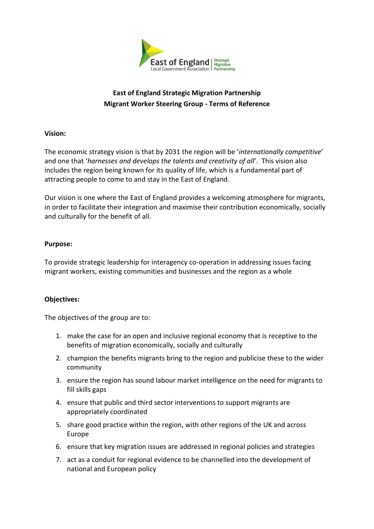

# **East of England Strategic Migration Partnership Migrant Worker Steering Group - Terms of Reference**

### **Vision:**

The economic strategy vision is that by 2031 the region will be '*internationally competitive*' and one that '*harnesses and develops the talents and creativity of all*'. This vision also includes the region being known for its quality of life, which is a fundamental part of attracting people to come to and stay in the East of England.

Our vision is one where the East of England provides a welcoming atmosphere for migrants, in order to facilitate their integration and maximise their contribution economically, socially and culturally for the benefit of all.

### **Purpose:**

To provide strategic leadership for interagency co-operation in addressing issues facing migrant workers, existing communities and businesses and the region as a whole

## **Objectives:**

The objectives of the group are to:

- 1. make the case for an open and inclusive regional economy that is receptive to the benefits of migration economically, socially and culturally
- 2. champion the benefits migrants bring to the region and publicise these to the wider community
- 3. ensure the region has sound labour market intelligence on the need for migrants to fill skills gaps
- 4. ensure that public and third sector interventions to support migrants are appropriately coordinated
- 5. share good practice within the region, with other regions of the UK and across Europe
- 6. ensure that key migration issues are addressed in regional policies and strategies
- 7. act as a conduit for regional evidence to be channelled into the development of national and European policy